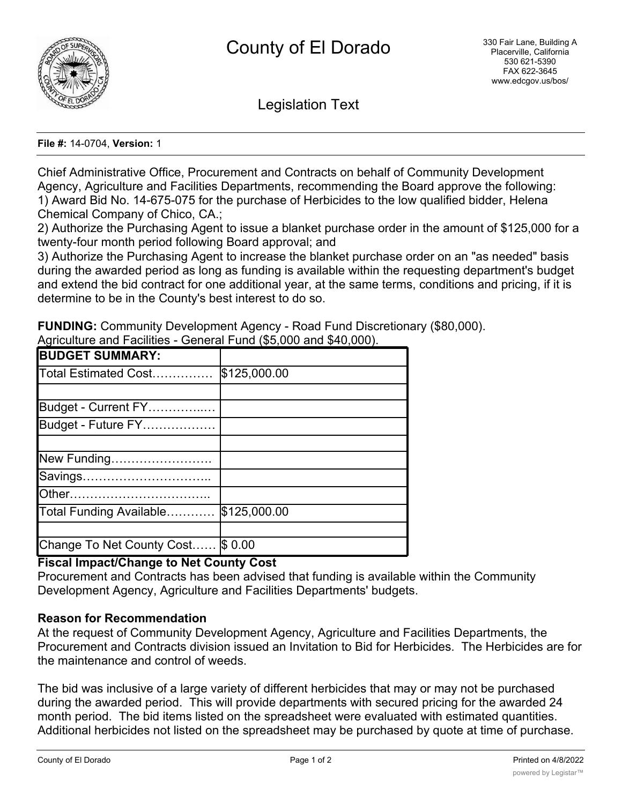

Legislation Text

#### **File #:** 14-0704, **Version:** 1

Chief Administrative Office, Procurement and Contracts on behalf of Community Development Agency, Agriculture and Facilities Departments, recommending the Board approve the following: 1) Award Bid No. 14-675-075 for the purchase of Herbicides to the low qualified bidder, Helena Chemical Company of Chico, CA.;

2) Authorize the Purchasing Agent to issue a blanket purchase order in the amount of \$125,000 for a twenty-four month period following Board approval; and

3) Authorize the Purchasing Agent to increase the blanket purchase order on an "as needed" basis during the awarded period as long as funding is available within the requesting department's budget and extend the bid contract for one additional year, at the same terms, conditions and pricing, if it is determine to be in the County's best interest to do so.

**FUNDING:** Community Development Agency - Road Fund Discretionary (\$80,000).

| <b>BUDGET SUMMARY:</b>    |              |
|---------------------------|--------------|
| Total Estimated Cost      | \$125,000.00 |
|                           |              |
| Budget - Current FY       |              |
| Budget - Future FY        |              |
|                           |              |
| New Funding               |              |
| Savings                   |              |
| <b>Other</b>              |              |
| Total Funding Available   | \$125,000.00 |
|                           |              |
| Change To Net County Cost | \$0.00       |

Agriculture and Facilities - General Fund (\$5,000 and \$40,000).

## **Fiscal Impact/Change to Net County Cost**

Procurement and Contracts has been advised that funding is available within the Community Development Agency, Agriculture and Facilities Departments' budgets.

### **Reason for Recommendation**

At the request of Community Development Agency, Agriculture and Facilities Departments, the Procurement and Contracts division issued an Invitation to Bid for Herbicides. The Herbicides are for the maintenance and control of weeds.

The bid was inclusive of a large variety of different herbicides that may or may not be purchased during the awarded period. This will provide departments with secured pricing for the awarded 24 month period. The bid items listed on the spreadsheet were evaluated with estimated quantities. Additional herbicides not listed on the spreadsheet may be purchased by quote at time of purchase.